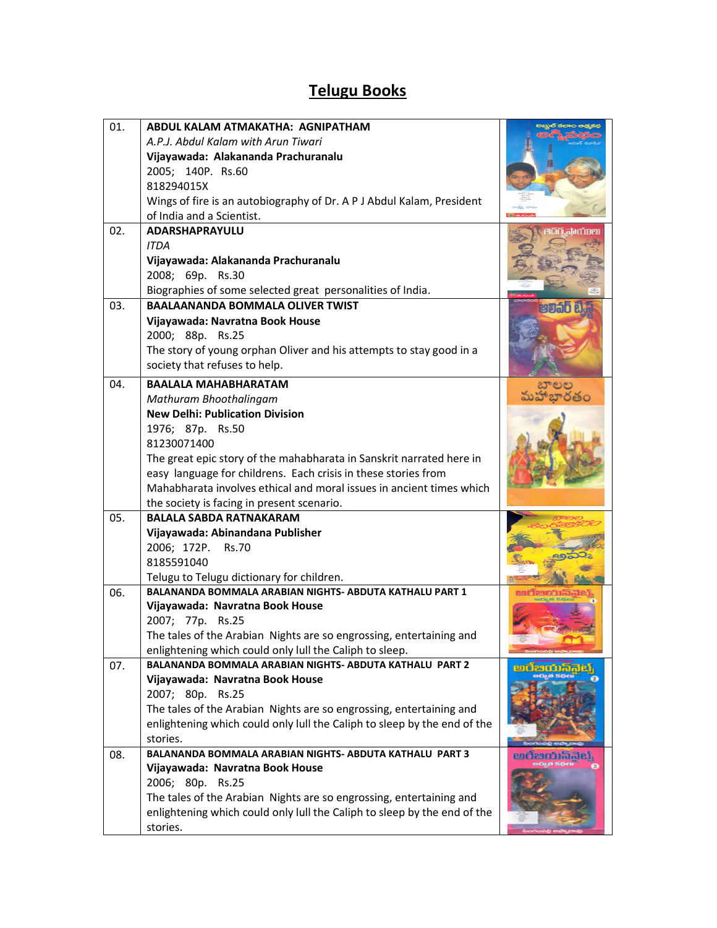## Telugu Books

| 01. | ABDUL KALAM ATMAKATHA: AGNIPATHAM                                        |                    |
|-----|--------------------------------------------------------------------------|--------------------|
|     | A.P.J. Abdul Kalam with Arun Tiwari                                      |                    |
|     | Vijayawada: Alakananda Prachuranalu                                      |                    |
|     | 2005; 140P. Rs.60                                                        |                    |
|     | 818294015X                                                               |                    |
|     | Wings of fire is an autobiography of Dr. A P J Abdul Kalam, President    |                    |
|     | of India and a Scientist.                                                |                    |
| 02. | <b>ADARSHAPRAYULU</b>                                                    |                    |
|     | <b>ITDA</b>                                                              |                    |
|     | Vijayawada: Alakananda Prachuranalu                                      |                    |
|     | 2008; 69p. Rs.30                                                         |                    |
|     | Biographies of some selected great personalities of India.               |                    |
| 03. | <b>BAALAANANDA BOMMALA OLIVER TWIST</b>                                  | පවත්ර්             |
|     | Vijayawada: Navratna Book House                                          |                    |
|     | 2000; 88p. Rs.25                                                         |                    |
|     | The story of young orphan Oliver and his attempts to stay good in a      |                    |
|     | society that refuses to help.                                            |                    |
| 04. | <b>BAALALA MAHABHARATAM</b>                                              |                    |
|     | Mathuram Bhoothalingam                                                   |                    |
|     | <b>New Delhi: Publication Division</b>                                   |                    |
|     | 1976; 87p. Rs.50                                                         |                    |
|     | 81230071400                                                              |                    |
|     | The great epic story of the mahabharata in Sanskrit narrated here in     |                    |
|     | easy language for childrens. Each crisis in these stories from           |                    |
|     | Mahabharata involves ethical and moral issues in ancient times which     |                    |
|     | the society is facing in present scenario.                               |                    |
| 05. | <b>BALALA SABDA RATNAKARAM</b>                                           |                    |
|     | Vijayawada: Abinandana Publisher                                         |                    |
|     | 2006; 172P.<br><b>Rs.70</b>                                              |                    |
|     | 8185591040                                                               |                    |
|     | Telugu to Telugu dictionary for children.                                |                    |
| 06. | <b>BALANANDA BOMMALA ARABIAN NIGHTS- ABDUTA KATHALU PART 1</b>           |                    |
|     | Vijayawada: Navratna Book House                                          |                    |
|     | 2007; 77p. Rs.25                                                         |                    |
|     | The tales of the Arabian Nights are so engrossing, entertaining and      |                    |
|     | enlightening which could only lull the Caliph to sleep.                  |                    |
| 07. | BALANANDA BOMMALA ARABIAN NIGHTS- ABDUTA KATHALU PART 2                  |                    |
|     | Vijayawada: Navratna Book House                                          |                    |
|     | 2007; 80p. Rs.25                                                         |                    |
|     | The tales of the Arabian Nights are so engrossing, entertaining and      |                    |
|     | enlightening which could only lull the Caliph to sleep by the end of the |                    |
|     | stories.                                                                 |                    |
| 08. | BALANANDA BOMMALA ARABIAN NIGHTS- ABDUTA KATHALU PART 3                  | <u>eagsampigin</u> |
|     | Vijayawada: Navratna Book House                                          |                    |
|     | 2006; 80p. Rs.25                                                         |                    |
|     | The tales of the Arabian Nights are so engrossing, entertaining and      |                    |
|     | enlightening which could only lull the Caliph to sleep by the end of the |                    |
|     | stories.                                                                 |                    |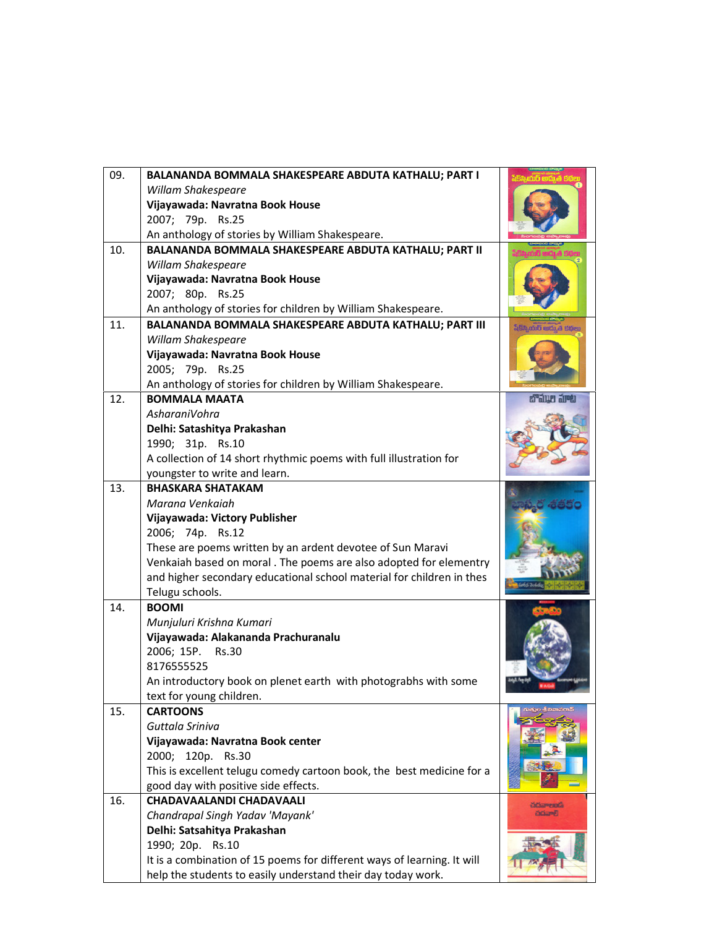| 09. | BALANANDA BOMMALA SHAKESPEARE ABDUTA KATHALU; PART I                    |                  |
|-----|-------------------------------------------------------------------------|------------------|
|     | Willam Shakespeare                                                      |                  |
|     | Vijayawada: Navratna Book House                                         |                  |
|     | 2007; 79p. Rs.25                                                        |                  |
|     | An anthology of stories by William Shakespeare.                         |                  |
| 10. | BALANANDA BOMMALA SHAKESPEARE ABDUTA KATHALU; PART II                   |                  |
|     | Willam Shakespeare                                                      |                  |
|     | Vijayawada: Navratna Book House                                         |                  |
|     | 2007; 80p. Rs.25                                                        |                  |
|     | An anthology of stories for children by William Shakespeare.            |                  |
| 11. | BALANANDA BOMMALA SHAKESPEARE ABDUTA KATHALU; PART III                  |                  |
|     | Willam Shakespeare                                                      |                  |
|     | Vijayawada: Navratna Book House                                         |                  |
|     | 2005; 79p. Rs.25                                                        |                  |
|     | An anthology of stories for children by William Shakespeare.            |                  |
| 12. | <b>BOMMALA MAATA</b>                                                    | a aw are         |
|     | AsharaniVohra                                                           |                  |
|     | Delhi: Satashitya Prakashan                                             |                  |
|     | 1990; 31p. Rs.10                                                        |                  |
|     | A collection of 14 short rhythmic poems with full illustration for      |                  |
|     | youngster to write and learn.                                           |                  |
| 13. | <b>BHASKARA SHATAKAM</b>                                                |                  |
|     | Marana Venkaiah                                                         |                  |
|     | Vijayawada: Victory Publisher                                           |                  |
|     | 2006; 74p. Rs.12                                                        |                  |
|     | These are poems written by an ardent devotee of Sun Maravi              |                  |
|     | Venkaiah based on moral . The poems are also adopted for elementry      |                  |
|     | and higher secondary educational school material for children in thes   |                  |
|     | Telugu schools.                                                         |                  |
| 14. | <b>BOOMI</b>                                                            |                  |
|     | Munjuluri Krishna Kumari                                                |                  |
|     | Vijayawada: Alakananda Prachuranalu                                     |                  |
|     | 2006; 15P.<br><b>Rs.30</b>                                              |                  |
|     | 8176555525                                                              |                  |
|     | An introductory book on plenet earth with photograbhs with some         |                  |
|     | text for young children.                                                |                  |
| 15. | <b>CARTOONS</b>                                                         |                  |
|     | Guttala Sriniva                                                         |                  |
|     | Vijayawada: Navratna Book center                                        |                  |
|     | 2000; 120p. Rs.30                                                       |                  |
|     | This is excellent telugu comedy cartoon book, the best medicine for a   |                  |
|     | good day with positive side effects.                                    |                  |
| 16. | CHADAVAALANDI CHADAVAALI                                                | చదివాలండి        |
|     | Chandrapal Singh Yadav 'Mayank'                                         | <b>Extracted</b> |
|     | Delhi: Satsahitya Prakashan                                             |                  |
|     | 1990; 20p. Rs.10                                                        |                  |
|     | It is a combination of 15 poems for different ways of learning. It will |                  |
|     | help the students to easily understand their day today work.            |                  |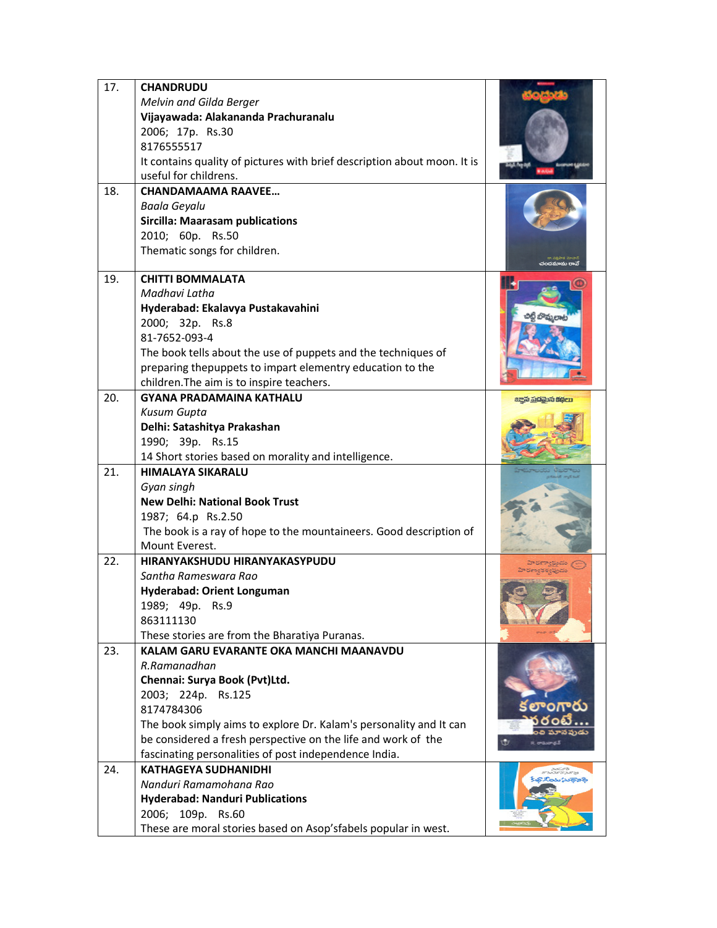| 17. | <b>CHANDRUDU</b>                                                                     |                     |
|-----|--------------------------------------------------------------------------------------|---------------------|
|     | Melvin and Gilda Berger                                                              |                     |
|     | Vijayawada: Alakananda Prachuranalu                                                  |                     |
|     | 2006; 17p. Rs.30                                                                     |                     |
|     | 8176555517                                                                           |                     |
|     | It contains quality of pictures with brief description about moon. It is             |                     |
|     | useful for childrens.                                                                |                     |
| 18. | <b>CHANDAMAAMA RAAVEE</b>                                                            |                     |
|     | Baala Geyalu                                                                         |                     |
|     | <b>Sircilla: Maarasam publications</b>                                               |                     |
|     | 2010; 60p.<br><b>Rs.50</b>                                                           |                     |
|     | Thematic songs for children.                                                         |                     |
| 19. | <b>CHITTI BOMMALATA</b>                                                              |                     |
|     | Madhavi Latha                                                                        |                     |
|     | Hyderabad: Ekalavya Pustakavahini                                                    |                     |
|     | 2000; 32p. Rs.8                                                                      |                     |
|     | 81-7652-093-4                                                                        |                     |
|     | The book tells about the use of puppets and the techniques of                        |                     |
|     | preparing thepuppets to impart elementry education to the                            |                     |
|     | children. The aim is to inspire teachers.                                            |                     |
| 20. | <b>GYANA PRADAMAINA KATHALU</b>                                                      | සදුන් ක්රිකාන පිරිළ |
|     | <b>Kusum Gupta</b>                                                                   |                     |
|     | Delhi: Satashitya Prakashan                                                          |                     |
|     | 1990; 39p. Rs.15                                                                     |                     |
|     | 14 Short stories based on morality and intelligence.                                 |                     |
| 21. | <b>HIMALAYA SIKARALU</b>                                                             |                     |
|     | Gyan singh                                                                           |                     |
|     | <b>New Delhi: National Book Trust</b>                                                |                     |
|     | 1987; 64.p Rs.2.50                                                                   |                     |
|     | The book is a ray of hope to the mountaineers. Good description of                   |                     |
|     | Mount Everest.                                                                       |                     |
| 22. | HIRANYAKSHUDU HIRANYAKASYPUDU                                                        |                     |
|     | Santha Rameswara Rao                                                                 |                     |
|     | Hyderabad: Orient Longuman                                                           |                     |
|     | 1989; 49p. Rs.9                                                                      |                     |
|     | 863111130                                                                            |                     |
|     | These stories are from the Bharatiya Puranas.                                        |                     |
| 23. | KALAM GARU EVARANTE OKA MANCHI MAANAVDU                                              |                     |
|     | R.Ramanadhan                                                                         |                     |
|     | Chennai: Surya Book (Pvt)Ltd.                                                        |                     |
|     | 2003; 224p. Rs.125                                                                   | కలాంగారు            |
|     | 8174784306                                                                           |                     |
|     | The book simply aims to explore Dr. Kalam's personality and It can                   |                     |
|     | be considered a fresh perspective on the life and work of the                        | G.                  |
| 24. | fascinating personalities of post independence India.<br><b>KATHAGEYA SUDHANIDHI</b> |                     |
|     | Nanduri Ramamohana Rao                                                               |                     |
|     |                                                                                      |                     |
|     | <b>Hyderabad: Nanduri Publications</b><br>2006; 109p. Rs.60                          |                     |
|     | These are moral stories based on Asop'sfabels popular in west.                       |                     |
|     |                                                                                      |                     |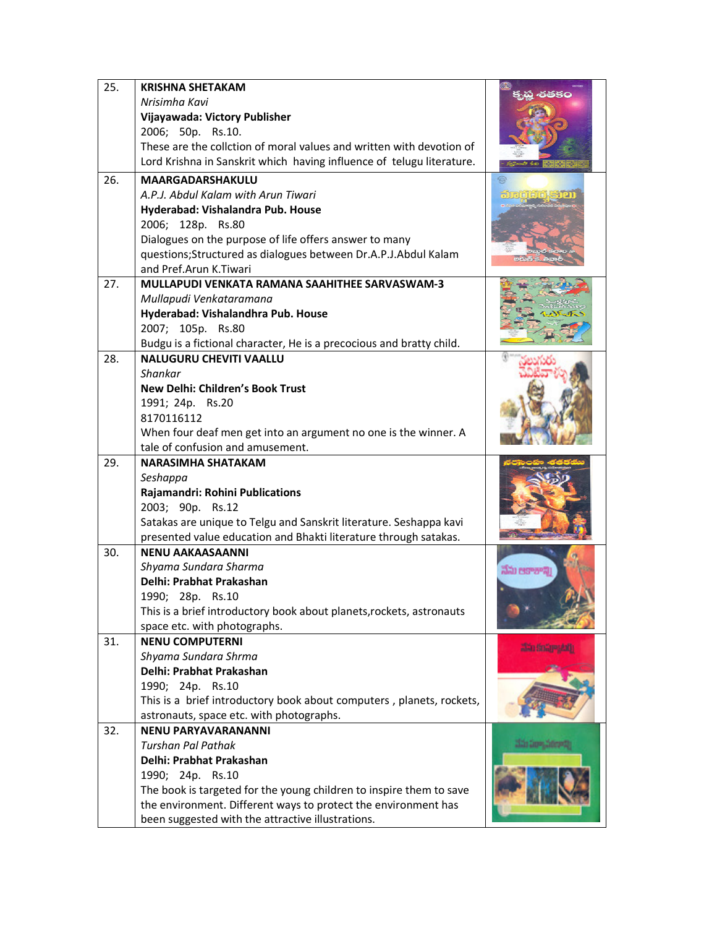| 25. | <b>KRISHNA SHETAKAM</b>                                               | -రతకం                |
|-----|-----------------------------------------------------------------------|----------------------|
|     | Nrisimha Kavi                                                         |                      |
|     | Vijayawada: Victory Publisher                                         |                      |
|     | 2006; 50p. Rs.10.                                                     |                      |
|     | These are the collction of moral values and written with devotion of  |                      |
|     | Lord Krishna in Sanskrit which having influence of telugu literature. |                      |
| 26. | <b>MAARGADARSHAKULU</b>                                               |                      |
|     | A.P.J. Abdul Kalam with Arun Tiwari                                   |                      |
|     | Hyderabad: Vishalandra Pub. House                                     |                      |
|     | 2006; 128p. Rs.80                                                     |                      |
|     | Dialogues on the purpose of life offers answer to many                |                      |
|     | questions;Structured as dialogues between Dr.A.P.J.Abdul Kalam        |                      |
|     | and Pref.Arun K.Tiwari                                                |                      |
| 27. | <b>MULLAPUDI VENKATA RAMANA SAAHITHEE SARVASWAM-3</b>                 |                      |
|     | Mullapudi Venkataramana                                               |                      |
|     | Hyderabad: Vishalandhra Pub. House                                    |                      |
|     | 2007; 105p. Rs.80                                                     |                      |
|     | Budgu is a fictional character, He is a precocious and bratty child.  |                      |
| 28. | <b>NALUGURU CHEVITI VAALLU</b>                                        |                      |
|     | <b>Shankar</b>                                                        |                      |
|     | New Delhi: Children's Book Trust                                      |                      |
|     | 1991; 24p. Rs.20                                                      |                      |
|     | 8170116112                                                            |                      |
|     | When four deaf men get into an argument no one is the winner. A       |                      |
|     | tale of confusion and amusement.                                      |                      |
| 29. | <b>NARASIMHA SHATAKAM</b>                                             |                      |
|     | Seshappa                                                              |                      |
|     | Rajamandri: Rohini Publications                                       |                      |
|     | 2003; 90p. Rs.12                                                      |                      |
|     | Satakas are unique to Telgu and Sanskrit literature. Seshappa kavi    |                      |
|     | presented value education and Bhakti literature through satakas.      |                      |
| 30. | <b>NENU AAKAASAANNI</b>                                               |                      |
|     | Shyama Sundara Sharma                                                 | నేను ఆకాశాగ్గ        |
|     | Delhi: Prabhat Prakashan                                              |                      |
|     | 1990; 28p. Rs.10                                                      |                      |
|     | This is a brief introductory book about planets, rockets, astronauts  |                      |
|     | space etc. with photographs.                                          |                      |
| 31. | <b>NENU COMPUTERNI</b>                                                | <b>ART STATE AND</b> |
|     | Shyama Sundara Shrma                                                  |                      |
|     | Delhi: Prabhat Prakashan                                              |                      |
|     | 1990; 24p. Rs.10                                                      |                      |
|     | This is a brief introductory book about computers, planets, rockets,  |                      |
|     | astronauts, space etc. with photographs.                              |                      |
| 32. | <b>NENU PARYAVARANANNI</b>                                            |                      |
|     | <b>Turshan Pal Pathak</b>                                             |                      |
|     | Delhi: Prabhat Prakashan                                              |                      |
|     | 1990; 24p. Rs.10                                                      |                      |
|     | The book is targeted for the young children to inspire them to save   |                      |
|     | the environment. Different ways to protect the environment has        |                      |
|     | been suggested with the attractive illustrations.                     |                      |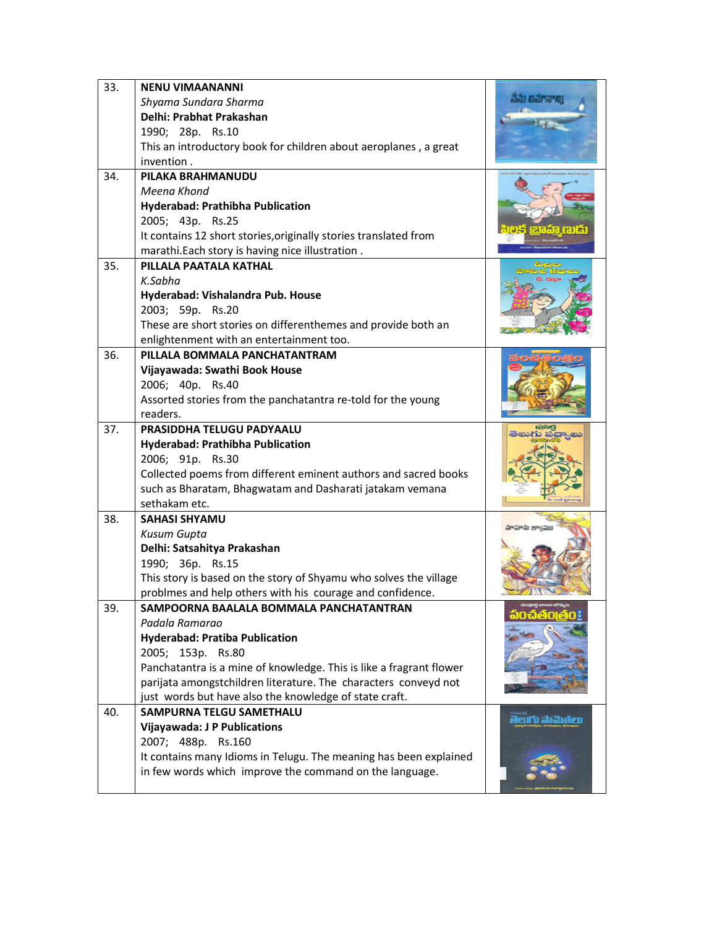| 33. | <b>NENU VIMAANANNI</b>                                              |                  |
|-----|---------------------------------------------------------------------|------------------|
|     | Shyama Sundara Sharma                                               | aal barayo       |
|     | Delhi: Prabhat Prakashan                                            |                  |
|     | 1990; 28p. Rs.10                                                    |                  |
|     | This an introductory book for children about aeroplanes, a great    |                  |
|     | invention.                                                          |                  |
| 34. | PILAKA BRAHMANUDU                                                   |                  |
|     | Meena Khond                                                         |                  |
|     | Hyderabad: Prathibha Publication                                    |                  |
|     | 2005; 43p. Rs.25                                                    |                  |
|     | It contains 12 short stories, originally stories translated from    |                  |
|     | marathi. Each story is having nice illustration.                    |                  |
| 35. | PILLALA PAATALA KATHAL                                              |                  |
|     | K.Sabha                                                             |                  |
|     | Hyderabad: Vishalandra Pub. House                                   |                  |
|     | 2003; 59p. Rs.20                                                    |                  |
|     | These are short stories on differenthemes and provide both an       |                  |
|     | enlightenment with an entertainment too.                            |                  |
| 36. | PILLALA BOMMALA PANCHATANTRAM                                       |                  |
|     | Vijayawada: Swathi Book House                                       |                  |
|     | 2006; 40p. Rs.40                                                    |                  |
|     | Assorted stories from the panchatantra re-told for the young        |                  |
|     | readers.                                                            |                  |
| 37. | PRASIDDHA TELUGU PADYAALU                                           |                  |
|     | Hyderabad: Prathibha Publication                                    |                  |
|     | 2006; 91p. Rs.30                                                    |                  |
|     | Collected poems from different eminent authors and sacred books     |                  |
|     | such as Bharatam, Bhagwatam and Dasharati jatakam vemana            |                  |
| 38. | sethakam etc.<br><b>SAHASI SHYAMU</b>                               |                  |
|     | <b>Kusum Gupta</b>                                                  | avara zvalu      |
|     | Delhi: Satsahitya Prakashan                                         |                  |
|     | 1990; 36p. Rs.15                                                    |                  |
|     | This story is based on the story of Shyamu who solves the village   |                  |
|     | problmes and help others with his courage and confidence.           |                  |
| 39. | SAMPOORNA BAALALA BOMMALA PANCHATANTRAN                             |                  |
|     | Padala Ramarao                                                      |                  |
|     | <b>Hyderabad: Pratiba Publication</b>                               |                  |
|     | 2005; 153p. Rs.80                                                   |                  |
|     | Panchatantra is a mine of knowledge. This is like a fragrant flower |                  |
|     | parijata amongstchildren literature. The characters conveyd not     |                  |
|     | just words but have also the knowledge of state craft.              |                  |
| 40. | <b>SAMPURNA TELGU SAMETHALU</b>                                     |                  |
|     | <b>Vijayawada: J P Publications</b>                                 | මීපාර්) බිබෝඡිපා |
|     | 2007; 488p. Rs.160                                                  |                  |
|     | It contains many Idioms in Telugu. The meaning has been explained   |                  |
|     | in few words which improve the command on the language.             |                  |
|     |                                                                     |                  |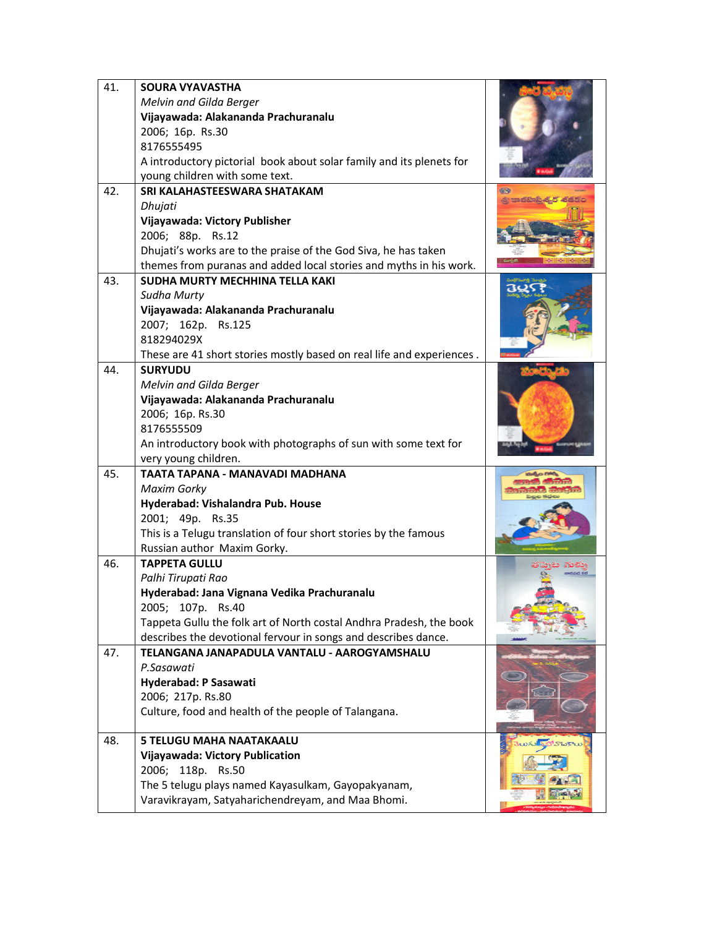| 41. | <b>SOURA VYAVASTHA</b><br>Melvin and Gilda Berger                     |  |
|-----|-----------------------------------------------------------------------|--|
|     | Vijayawada: Alakananda Prachuranalu                                   |  |
|     | 2006; 16p. Rs.30                                                      |  |
|     | 8176555495                                                            |  |
|     | A introductory pictorial book about solar family and its plenets for  |  |
|     | young children with some text.                                        |  |
| 42. | SRI KALAHASTEESWARA SHATAKAM                                          |  |
|     | Dhujati                                                               |  |
|     | Vijayawada: Victory Publisher                                         |  |
|     | 2006; 88p. Rs.12                                                      |  |
|     | Dhujati's works are to the praise of the God Siva, he has taken       |  |
|     | themes from puranas and added local stories and myths in his work.    |  |
| 43. | SUDHA MURTY MECHHINA TELLA KAKI                                       |  |
|     | Sudha Murty                                                           |  |
|     | Vijayawada: Alakananda Prachuranalu                                   |  |
|     | 2007; 162p. Rs.125                                                    |  |
|     | 818294029X                                                            |  |
|     | These are 41 short stories mostly based on real life and experiences. |  |
| 44. | <b>SURYUDU</b>                                                        |  |
|     | Melvin and Gilda Berger                                               |  |
|     | Vijayawada: Alakananda Prachuranalu<br>2006; 16p. Rs.30               |  |
|     | 8176555509                                                            |  |
|     | An introductory book with photographs of sun with some text for       |  |
|     | very young children.                                                  |  |
| 45. | TAATA TAPANA - MANAVADI MADHANA                                       |  |
|     | <b>Maxim Gorky</b>                                                    |  |
|     | Hyderabad: Vishalandra Pub. House                                     |  |
|     | 2001; 49p. Rs.35                                                      |  |
|     | This is a Telugu translation of four short stories by the famous      |  |
|     | Russian author Maxim Gorky.                                           |  |
| 46. | <b>TAPPETA GULLU</b>                                                  |  |
|     | Palhi Tirupati Rao                                                    |  |
|     | Hyderabad: Jana Vignana Vedika Prachuranalu                           |  |
|     | 2005; 107p. Rs.40                                                     |  |
|     | Tappeta Gullu the folk art of North costal Andhra Pradesh, the book   |  |
|     | describes the devotional fervour in songs and describes dance.        |  |
| 47. | TELANGANA JANAPADULA VANTALU - AAROGYAMSHALU                          |  |
|     | P.Sasawati                                                            |  |
|     | Hyderabad: P Sasawati                                                 |  |
|     | 2006; 217p. Rs.80                                                     |  |
|     | Culture, food and health of the people of Talangana.                  |  |
| 48. | <b>5 TELUGU MAHA NAATAKAALU</b>                                       |  |
|     | Vijayawada: Victory Publication                                       |  |
|     | 2006; 118p. Rs.50                                                     |  |
|     | The 5 telugu plays named Kayasulkam, Gayopakyanam,                    |  |
|     | Varavikrayam, Satyaharichendreyam, and Maa Bhomi.                     |  |
|     |                                                                       |  |